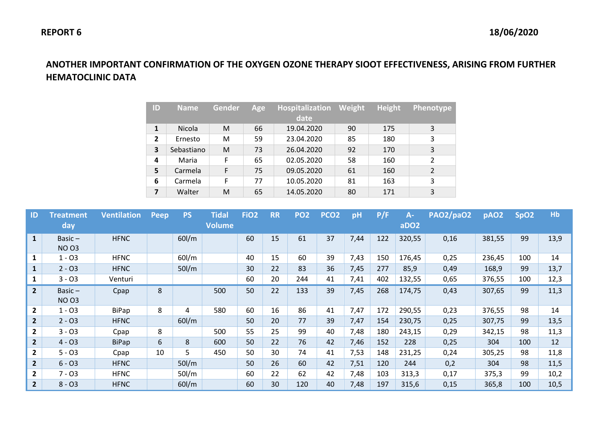## **ANOTHER IMPORTANT CONFIRMATION OF THE OXYGEN OZONE THERAPY SIOOT EFFECTIVENESS, ARISING FROM FURTHER HEMATOCLINIC DATA**

| ID             | <b>Name</b> | <b>Gender</b> | Age | Hospitalization<br>date | Weight | <b>Height</b> | <b>Phenotype</b>         |
|----------------|-------------|---------------|-----|-------------------------|--------|---------------|--------------------------|
| $\mathbf{1}$   | Nicola      | M             | 66  | 19.04.2020              | 90     | 175           | 3                        |
| $\overline{2}$ | Ernesto     | м             | 59  | 23.04.2020              | 85     | 180           | 3                        |
| 3              | Sebastiano  | M             | 73  | 26.04.2020              | 92     | 170           | 3                        |
| 4              | Maria       | F             | 65  | 02.05.2020              | 58     | 160           | $\overline{\phantom{a}}$ |
| 5              | Carmela     | F             | 75  | 09.05.2020              | 61     | 160           | 2                        |
| 6              | Carmela     | F             | 77  | 10.05.2020              | 81     | 163           | 3                        |
| 7              | Walter      | M             | 65  | 14.05.2020              | 80     | 171           | 3                        |

| ID             | <b>Treatment</b><br>day   | <b>Ventilation</b> | Peep | <b>PS</b> | <b>Tidal</b><br><b>Volume</b> | FiO <sub>2</sub> | <b>RR</b> | PO <sub>2</sub> | PCO <sub>2</sub> | pH   | P/F | $A-$<br>aDO <sub>2</sub> | PAO2/paO2 | pAO <sub>2</sub> | SpO <sub>2</sub> | Hb   |
|----------------|---------------------------|--------------------|------|-----------|-------------------------------|------------------|-----------|-----------------|------------------|------|-----|--------------------------|-----------|------------------|------------------|------|
| $\mathbf{1}$   | Basic $-$<br><b>NO 03</b> | <b>HFNC</b>        |      | $60$ I/m  |                               | 60               | 15        | 61              | 37               | 7,44 | 122 | 320,55                   | 0,16      | 381,55           | 99               | 13,9 |
| $\mathbf{1}$   | $1 - 03$                  | <b>HFNC</b>        |      | $60$ l/m  |                               | 40               | 15        | 60              | 39               | 7,43 | 150 | 176,45                   | 0,25      | 236,45           | 100              | 14   |
| $\mathbf{1}$   | $2 - 03$                  | <b>HFNC</b>        |      | $50$ I/m  |                               | 30               | 22        | 83              | 36               | 7,45 | 277 | 85,9                     | 0,49      | 168,9            | 99               | 13,7 |
| $\mathbf{1}$   | $3 - 03$                  | Venturi            |      |           |                               | 60               | 20        | 244             | 41               | 7,41 | 402 | 132,55                   | 0,65      | 376,55           | 100              | 12,3 |
| $2^{\circ}$    | Basic $-$<br><b>NO 03</b> | Cpap               | 8    |           | 500                           | 50               | 22        | 133             | 39               | 7,45 | 268 | 174,75                   | 0,43      | 307,65           | 99               | 11,3 |
| $\overline{2}$ | $1 - 03$                  | BiPap              | 8    | 4         | 580                           | 60               | 16        | 86              | 41               | 7,47 | 172 | 290,55                   | 0,23      | 376,55           | 98               | 14   |
| $2^{\circ}$    | $2 - 03$                  | <b>HFNC</b>        |      | $60$ I/m  |                               | 50               | 20        | 77              | 39               | 7,47 | 154 | 230,75                   | 0,25      | 307,75           | 99               | 13,5 |
| $\overline{2}$ | $3 - 03$                  | Cpap               | 8    |           | 500                           | 55               | 25        | 99              | 40               | 7,48 | 180 | 243,15                   | 0,29      | 342,15           | 98               | 11,3 |
| $\overline{2}$ | $4 - 03$                  | <b>BiPap</b>       | 6    | 8         | 600                           | 50               | 22        | 76              | 42               | 7,46 | 152 | 228                      | 0,25      | 304              | 100              | 12   |
| $\mathbf{2}$   | $5 - 03$                  | Cpap               | 10   | 5.        | 450                           | 50               | 30        | 74              | 41               | 7,53 | 148 | 231,25                   | 0,24      | 305,25           | 98               | 11,8 |
| $\overline{2}$ | $6 - 03$                  | <b>HFNC</b>        |      | $50$ l/m  |                               | 50               | 26        | 60              | 42               | 7,51 | 120 | 244                      | 0,2       | 304              | 98               | 11,5 |
| $\mathbf{2}$   | $7 - 03$                  | <b>HFNC</b>        |      | $50$ l/m  |                               | 60               | 22        | 62              | 42               | 7,48 | 103 | 313,3                    | 0,17      | 375,3            | 99               | 10,2 |
| $\overline{2}$ | $8 - 03$                  | <b>HFNC</b>        |      | $60$ I/m  |                               | 60               | 30        | 120             | 40               | 7,48 | 197 | 315,6                    | 0,15      | 365,8            | 100              | 10,5 |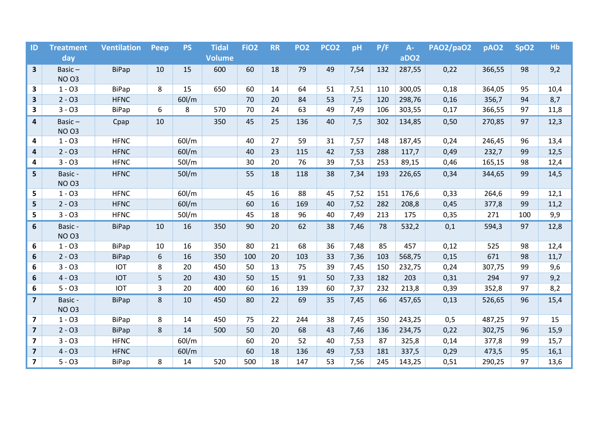| ID                      | <b>Treatment</b> | <b>Ventilation</b> | <b>Peep</b> | <b>PS</b> | <b>Tidal</b>  | FiO <sub>2</sub> | <b>RR</b> | <b>PO2</b> | PCO <sub>2</sub> | pH   | P/F | $A -$            | <b>PAO2/paO2</b> | pAO <sub>2</sub> | SpO <sub>2</sub> | Hb   |
|-------------------------|------------------|--------------------|-------------|-----------|---------------|------------------|-----------|------------|------------------|------|-----|------------------|------------------|------------------|------------------|------|
|                         | day              |                    |             |           | <b>Volume</b> |                  |           |            |                  |      |     | aDO <sub>2</sub> |                  |                  |                  |      |
| $\mathbf{3}$            | Basic $-$        | <b>BiPap</b>       | 10          | 15        | 600           | 60               | 18        | 79         | 49               | 7,54 | 132 | 287,55           | 0,22             | 366,55           | 98               | 9,2  |
|                         | <b>NO 03</b>     |                    |             |           |               |                  |           |            |                  |      |     |                  |                  |                  |                  |      |
| 3                       | $1 - 03$         | <b>BiPap</b>       | 8           | 15        | 650           | 60               | 14        | 64         | 51               | 7,51 | 110 | 300,05           | 0,18             | 364,05           | 95               | 10,4 |
| $\mathbf{3}$            | $2 - 03$         | <b>HFNC</b>        |             | $60$ I/m  |               | 70               | 20        | 84         | 53               | 7,5  | 120 | 298,76           | 0,16             | 356,7            | 94               | 8,7  |
| $\mathbf{3}$            | $3 - 03$         | <b>BiPap</b>       | 6           | 8         | 570           | 70               | 24        | 63         | 49               | 7,49 | 106 | 303,55           | 0,17             | 366,55           | 97               | 11,8 |
| 4                       | Basic $-$        | Cpap               | 10          |           | 350           | 45               | 25        | 136        | 40               | 7,5  | 302 | 134,85           | 0,50             | 270,85           | 97               | 12,3 |
|                         | <b>NO 03</b>     |                    |             |           |               |                  |           |            |                  |      |     |                  |                  |                  |                  |      |
| 4                       | $1 - 03$         | <b>HFNC</b>        |             | 60l/m     |               | 40               | 27        | 59         | 31               | 7,57 | 148 | 187,45           | 0,24             | 246,45           | 96               | 13,4 |
| 4                       | $2 - 03$         | <b>HFNC</b>        |             | $60$ I/m  |               | 40               | 23        | 115        | 42               | 7,53 | 288 | 117,7            | 0,49             | 232,7            | 99               | 12,5 |
| 4                       | $3 - 03$         | <b>HFNC</b>        |             | $50$ l/m  |               | 30               | 20        | 76         | 39               | 7,53 | 253 | 89,15            | 0,46             | 165,15           | 98               | 12,4 |
| 5                       | Basic -          | <b>HFNC</b>        |             | $50$ l/m  |               | 55               | 18        | 118        | 38               | 7,34 | 193 | 226,65           | 0,34             | 344,65           | 99               | 14,5 |
|                         | <b>NO 03</b>     |                    |             |           |               |                  |           |            |                  |      |     |                  |                  |                  |                  |      |
| 5                       | $1 - 03$         | <b>HFNC</b>        |             | $60$ I/m  |               | 45               | 16        | 88         | 45               | 7,52 | 151 | 176,6            | 0,33             | 264,6            | 99               | 12,1 |
| 5                       | $2 - 03$         | <b>HFNC</b>        |             | $60$ I/m  |               | 60               | 16        | 169        | 40               | 7,52 | 282 | 208,8            | 0,45             | 377,8            | 99               | 11,2 |
| 5                       | $3 - 03$         | <b>HFNC</b>        |             | $50$ l/m  |               | 45               | 18        | 96         | 40               | 7,49 | 213 | 175              | 0,35             | 271              | 100              | 9,9  |
| 6                       | Basic -          | <b>BiPap</b>       | 10          | 16        | 350           | 90               | 20        | 62         | 38               | 7,46 | 78  | 532,2            | 0,1              | 594,3            | 97               | 12,8 |
|                         | <b>NO 03</b>     |                    |             |           |               |                  |           |            |                  |      |     |                  |                  |                  |                  |      |
| 6                       | $1 - 03$         | <b>BiPap</b>       | 10          | 16        | 350           | 80               | 21        | 68         | 36               | 7,48 | 85  | 457              | 0,12             | 525              | 98               | 12,4 |
| $\boldsymbol{6}$        | $2 - 03$         | <b>BiPap</b>       | 6           | 16        | 350           | 100              | 20        | 103        | 33               | 7,36 | 103 | 568,75           | 0,15             | 671              | 98               | 11,7 |
| 6                       | $3 - 03$         | <b>IOT</b>         | 8           | 20        | 450           | 50               | 13        | 75         | 39               | 7,45 | 150 | 232,75           | 0,24             | 307,75           | 99               | 9,6  |
| 6                       | $4 - 03$         | <b>IOT</b>         | 5           | 20        | 430           | 50               | 15        | 91         | 50               | 7,33 | 182 | 203              | 0,31             | 294              | 97               | 9,2  |
| 6                       | $5 - 03$         | <b>IOT</b>         | 3           | 20        | 400           | 60               | 16        | 139        | 60               | 7,37 | 232 | 213,8            | 0,39             | 352,8            | 97               | 8,2  |
| $\overline{7}$          | Basic -          | <b>BiPap</b>       | 8           | 10        | 450           | 80               | 22        | 69         | 35               | 7,45 | 66  | 457,65           | 0,13             | 526,65           | 96               | 15,4 |
|                         | <b>NO 03</b>     |                    |             |           |               |                  |           |            |                  |      |     |                  |                  |                  |                  |      |
| $\overline{\mathbf{z}}$ | $1 - 03$         | <b>BiPap</b>       | 8           | 14        | 450           | 75               | 22        | 244        | 38               | 7,45 | 350 | 243,25           | 0,5              | 487,25           | 97               | 15   |
| $\overline{\mathbf{z}}$ | $2 - 03$         | <b>BiPap</b>       | 8           | 14        | 500           | 50               | 20        | 68         | 43               | 7,46 | 136 | 234,75           | 0,22             | 302,75           | 96               | 15,9 |
| $\boldsymbol{7}$        | $3 - 03$         | <b>HFNC</b>        |             | $60$ I/m  |               | 60               | 20        | 52         | 40               | 7,53 | 87  | 325,8            | 0,14             | 377,8            | 99               | 15,7 |
| $\overline{\mathbf{z}}$ | $4 - 03$         | <b>HFNC</b>        |             | $60$ I/m  |               | 60               | 18        | 136        | 49               | 7,53 | 181 | 337,5            | 0,29             | 473,5            | 95               | 16,1 |
| $\overline{\mathbf{z}}$ | $5 - 03$         | <b>BiPap</b>       | 8           | 14        | 520           | 500              | 18        | 147        | 53               | 7,56 | 245 | 143,25           | 0,51             | 290,25           | 97               | 13,6 |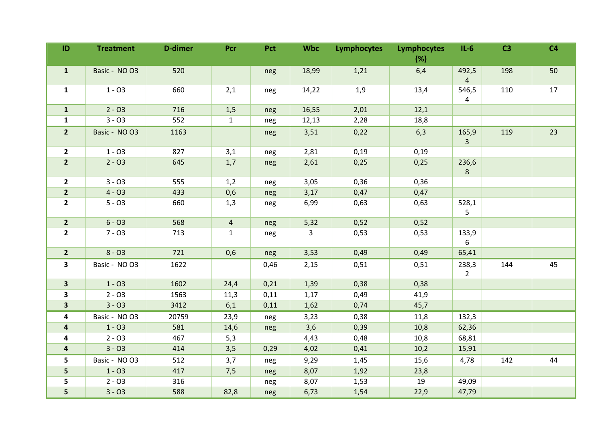| ID                      | <b>Treatment</b> | <b>D-dimer</b> | Pcr            | Pct  | <b>Wbc</b> | <b>Lymphocytes</b> | Lymphocytes | $IL-6$                  | C <sub>3</sub> | C <sub>4</sub> |
|-------------------------|------------------|----------------|----------------|------|------------|--------------------|-------------|-------------------------|----------------|----------------|
|                         |                  |                |                |      |            |                    | (%)         |                         |                |                |
| $\mathbf{1}$            | Basic - NO O3    | 520            |                | neg  | 18,99      | 1,21               | 6,4         | 492,5<br>$\overline{4}$ | 198            | 50             |
| $\mathbf{1}$            | $1 - 03$         | 660            | 2,1            | neg  | 14,22      | 1,9                | 13,4        | 546,5                   | 110            | 17             |
|                         |                  |                |                |      |            |                    |             | $\overline{4}$          |                |                |
| $\mathbf{1}$            | $2 - 03$         | 716            | 1,5            | neg  | 16,55      | 2,01               | 12,1        |                         |                |                |
| $\mathbf{1}$            | $3 - 03$         | 552            | $\mathbf{1}$   | neg  | 12,13      | 2,28               | 18,8        |                         |                |                |
| $\overline{2}$          | Basic - NO O3    | 1163           |                | neg  | 3,51       | 0,22               | 6,3         | 165,9                   | 119            | 23             |
|                         |                  |                |                |      |            |                    |             | 3 <sup>1</sup>          |                |                |
| $\mathbf{2}$            | $1 - 03$         | 827            | 3,1            | neg  | 2,81       | 0,19               | 0,19        |                         |                |                |
| $\overline{2}$          | $2 - 03$         | 645            | 1,7            | neg  | 2,61       | 0,25               | 0,25        | 236,6<br>8              |                |                |
| $\overline{2}$          | $3 - 03$         | 555            | 1,2            | neg  | 3,05       | 0,36               | 0,36        |                         |                |                |
| $\overline{2}$          | $4 - 03$         | 433            | 0,6            | neg  | 3,17       | 0,47               | 0,47        |                         |                |                |
| $\overline{2}$          | $5 - 03$         | 660            | 1,3            | neg  | 6,99       | 0,63               | 0,63        | 528,1<br>5              |                |                |
| $\overline{2}$          | $6 - 03$         | 568            | $\overline{4}$ | neg  | 5,32       | 0,52               | 0,52        |                         |                |                |
| $\mathbf{2}$            | $7 - 03$         | 713            | $\mathbf{1}$   | neg  | 3          | 0,53               | 0,53        | 133,9                   |                |                |
|                         |                  |                |                |      |            |                    |             | 6                       |                |                |
| $\overline{2}$          | $8 - 03$         | 721            | 0,6            | neg  | 3,53       | 0,49               | 0,49        | 65,41                   |                |                |
| $\overline{\mathbf{3}}$ | Basic - NO O3    | 1622           |                | 0,46 | 2,15       | 0,51               | 0,51        | 238,3<br>$2^{\circ}$    | 144            | 45             |
| $\overline{\mathbf{3}}$ | $1 - 03$         | 1602           | 24,4           | 0,21 | 1,39       | 0,38               | 0,38        |                         |                |                |
| 3                       | $2 - 03$         | 1563           | 11,3           | 0,11 | 1,17       | 0,49               | 41,9        |                         |                |                |
| $\overline{\mathbf{3}}$ | $3 - 03$         | 3412           | 6,1            | 0,11 | 1,62       | 0,74               | 45,7        |                         |                |                |
| 4                       | Basic - NO O3    | 20759          | 23,9           | neg  | 3,23       | 0,38               | 11,8        | 132,3                   |                |                |
| 4                       | $1 - 03$         | 581            | 14,6           | neg  | 3,6        | 0,39               | 10,8        | 62,36                   |                |                |
| 4                       | $2 - 03$         | 467            | 5,3            |      | 4,43       | 0,48               | 10,8        | 68,81                   |                |                |
| $\overline{\mathbf{a}}$ | $3 - 03$         | 414            | 3,5            | 0,29 | 4,02       | 0,41               | 10,2        | 15,91                   |                |                |
| 5                       | Basic - NO O3    | 512            | 3,7            | neg  | 9,29       | 1,45               | 15,6        | 4,78                    | 142            | 44             |
| 5                       | $1 - 03$         | 417            | 7,5            | neg  | 8,07       | 1,92               | 23,8        |                         |                |                |
| 5                       | $2 - 03$         | 316            |                | neg  | 8,07       | 1,53               | 19          | 49,09                   |                |                |
| 5                       | $3 - 03$         | 588            | 82,8           | neg  | 6,73       | 1,54               | 22,9        | 47,79                   |                |                |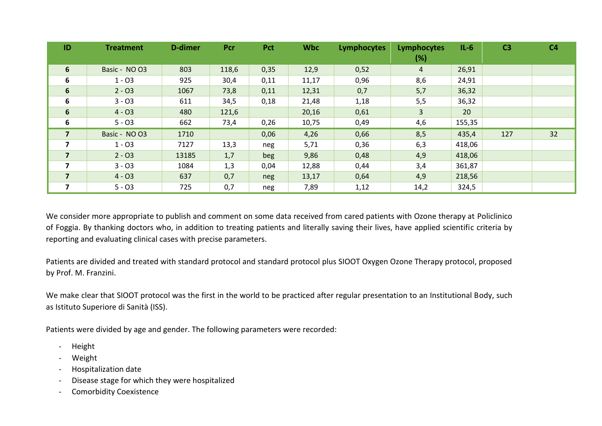| ID                      | <b>Treatment</b> | D-dimer | Pcr   | Pct  | <b>Wbc</b> | Lymphocytes | Lymphocytes<br>$(\%)$ | $IL-6$ | C <sub>3</sub> | C <sub>4</sub> |
|-------------------------|------------------|---------|-------|------|------------|-------------|-----------------------|--------|----------------|----------------|
| 6                       | Basic - NO O3    | 803     | 118,6 | 0,35 | 12,9       | 0,52        | $\overline{4}$        | 26,91  |                |                |
| 6                       | $1 - 03$         | 925     | 30,4  | 0,11 | 11,17      | 0,96        | 8,6                   | 24,91  |                |                |
| 6                       | $2 - 03$         | 1067    | 73,8  | 0,11 | 12,31      | 0,7         | 5,7                   | 36,32  |                |                |
| 6                       | $3 - 03$         | 611     | 34,5  | 0,18 | 21,48      | 1,18        | 5,5                   | 36,32  |                |                |
| $6\phantom{1}$          | $4 - 03$         | 480     | 121,6 |      | 20,16      | 0,61        | 3                     | 20     |                |                |
| 6                       | $5 - 03$         | 662     | 73,4  | 0,26 | 10,75      | 0,49        | 4,6                   | 155,35 |                |                |
| $\overline{7}$          | Basic - NO O3    | 1710    |       | 0,06 | 4,26       | 0,66        | 8,5                   | 435,4  | 127            | 32             |
| $\overline{\mathbf{z}}$ | $1 - 03$         | 7127    | 13,3  | neg  | 5,71       | 0,36        | 6,3                   | 418,06 |                |                |
| $\overline{7}$          | $2 - 03$         | 13185   | 1,7   | beg  | 9,86       | 0,48        | 4,9                   | 418,06 |                |                |
| $\overline{\mathbf{z}}$ | $3 - 03$         | 1084    | 1,3   | 0,04 | 12,88      | 0,44        | 3,4                   | 361,87 |                |                |
| $\overline{7}$          | $4 - 03$         | 637     | 0,7   | neg  | 13,17      | 0,64        | 4,9                   | 218,56 |                |                |
|                         | $5 - 03$         | 725     | 0,7   | neg  | 7,89       | 1,12        | 14,2                  | 324,5  |                |                |

We consider more appropriate to publish and comment on some data received from cared patients with Ozone therapy at Policlinico of Foggia. By thanking doctors who, in addition to treating patients and literally saving their lives, have applied scientific criteria by reporting and evaluating clinical cases with precise parameters.

Patients are divided and treated with standard protocol and standard protocol plus SIOOT Oxygen Ozone Therapy protocol, proposed by Prof. M. Franzini.

We make clear that SIOOT protocol was the first in the world to be practiced after regular presentation to an Institutional Body, such as Istituto Superiore di Sanità (ISS).

Patients were divided by age and gender. The following parameters were recorded:

- Height
- Weight
- Hospitalization date
- Disease stage for which they were hospitalized
- Comorbidity Coexistence